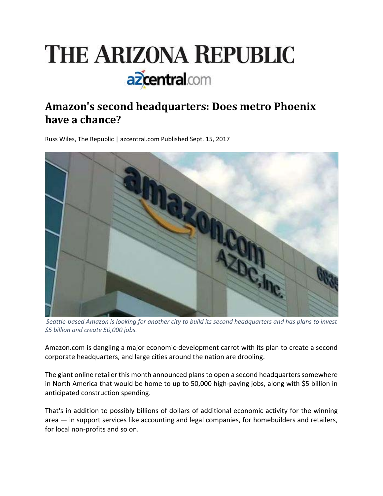

# **Amazon's second headquarters: Does metro Phoenix have a chance?**

Russ Wiles, The Republic | azcentral.com Published Sept. 15, 2017



Seattle-based Amazon is looking for another city to build its second headquarters and has plans to invest *\$5 billion and create 50,000 jobs.*

Amazon.com is dangling a major economic‐development carrot with its plan to create a second corporate headquarters, and large cities around the nation are drooling.

The giant online retailer this month announced plans to open a second headquarters somewhere in North America that would be home to up to 50,000 high‐paying jobs, along with \$5 billion in anticipated construction spending.

That's in addition to possibly billions of dollars of additional economic activity for the winning area — in support services like accounting and legal companies, for homebuilders and retailers, for local non‐profits and so on.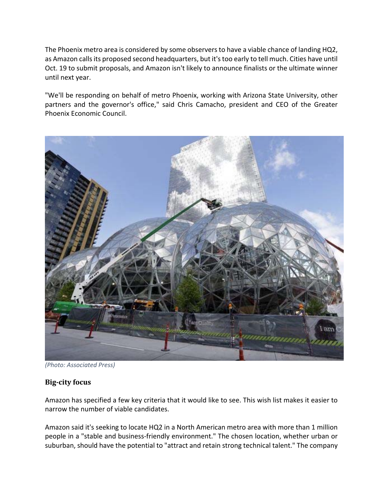The Phoenix metro area is considered by some observers to have a viable chance of landing HQ2, as Amazon calls its proposed second headquarters, but it's too early to tell much. Cities have until Oct. 19 to submit proposals, and Amazon isn't likely to announce finalists or the ultimate winner until next year.

"We'll be responding on behalf of metro Phoenix, working with Arizona State University, other partners and the governor's office," said Chris Camacho, president and CEO of the Greater Phoenix Economic Council.



*(Photo: Associated Press)*

## **Big‐city focus**

Amazon has specified a few key criteria that it would like to see. This wish list makes it easier to narrow the number of viable candidates.

Amazon said it's seeking to locate HQ2 in a North American metro area with more than 1 million people in a "stable and business‐friendly environment." The chosen location, whether urban or suburban, should have the potential to "attract and retain strong technical talent." The company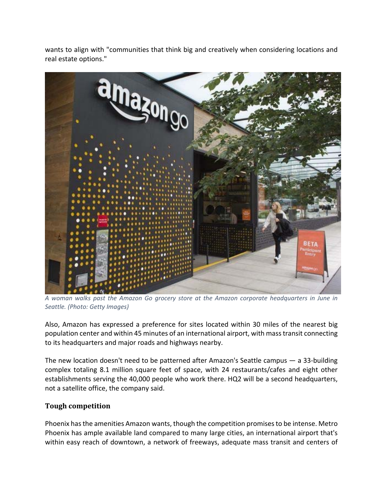wants to align with "communities that think big and creatively when considering locations and real estate options."



*A woman walks past the Amazon Go grocery store at the Amazon corporate headquarters in June in Seattle. (Photo: Getty Images)*

Also, Amazon has expressed a preference for sites located within 30 miles of the nearest big population center and within 45 minutes of an international airport, with masstransit connecting to its headquarters and major roads and highways nearby.

The new location doesn't need to be patterned after Amazon's Seattle campus — a 33‐building complex totaling 8.1 million square feet of space, with 24 restaurants/cafes and eight other establishments serving the 40,000 people who work there. HQ2 will be a second headquarters, not a satellite office, the company said.

## **Tough competition**

Phoenix has the amenities Amazon wants, though the competition promises to be intense. Metro Phoenix has ample available land compared to many large cities, an international airport that's within easy reach of downtown, a network of freeways, adequate mass transit and centers of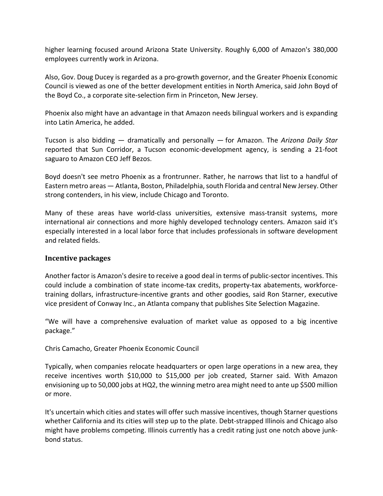higher learning focused around Arizona State University. Roughly 6,000 of Amazon's 380,000 employees currently work in Arizona.

Also, Gov. Doug Ducey is regarded as a pro‐growth governor, and the Greater Phoenix Economic Council is viewed as one of the better development entities in North America, said John Boyd of the Boyd Co., a corporate site‐selection firm in Princeton, New Jersey.

Phoenix also might have an advantage in that Amazon needs bilingual workers and is expanding into Latin America, he added.

Tucson is also bidding — dramatically and personally — for Amazon. The *Arizona Daily Star* reported that Sun Corridor, a Tucson economic‐development agency, is sending a 21‐foot saguaro to Amazon CEO Jeff Bezos.

Boyd doesn't see metro Phoenix as a frontrunner. Rather, he narrows that list to a handful of Eastern metro areas - Atlanta, Boston, Philadelphia, south Florida and central New Jersey. Other strong contenders, in his view, include Chicago and Toronto.

Many of these areas have world-class universities, extensive mass-transit systems, more international air connections and more highly developed technology centers. Amazon said it's especially interested in a local labor force that includes professionals in software development and related fields.

## **Incentive packages**

Another factor is Amazon's desire to receive a good deal in terms of public‐sector incentives. This could include a combination of state income‐tax credits, property‐tax abatements, workforce‐ training dollars, infrastructure‐incentive grants and other goodies, said Ron Starner, executive vice president of Conway Inc., an Atlanta company that publishes Site Selection Magazine.

"We will have a comprehensive evaluation of market value as opposed to a big incentive package."

Chris Camacho, Greater Phoenix Economic Council

Typically, when companies relocate headquarters or open large operations in a new area, they receive incentives worth \$10,000 to \$15,000 per job created, Starner said. With Amazon envisioning up to 50,000 jobs at HQ2, the winning metro area might need to ante up \$500 million or more.

It's uncertain which cities and states will offer such massive incentives, though Starner questions whether California and its cities will step up to the plate. Debt-strapped Illinois and Chicago also might have problems competing. Illinois currently has a credit rating just one notch above junk‐ bond status.